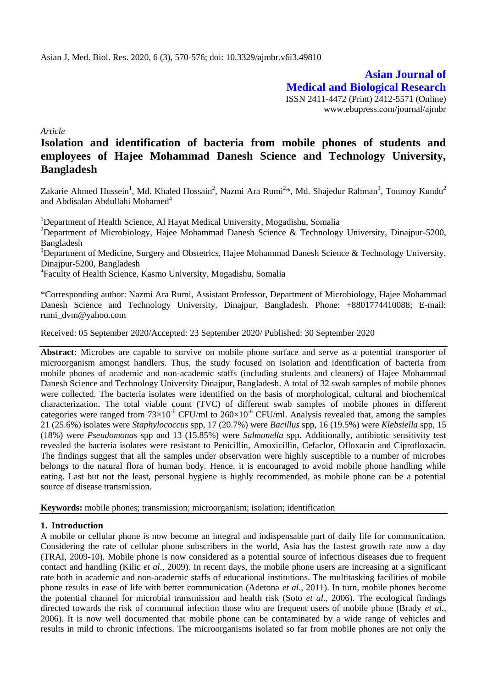**Asian Journal of Medical and Biological Research** ISSN 2411-4472 (Print) 2412-5571 (Online) www.ebupress.com/journal/ajmbr

*Article*

# **Isolation and identification of bacteria from mobile phones of students and employees of Hajee Mohammad Danesh Science and Technology University, Bangladesh**

Zakarie Ahmed Hussein<sup>1</sup>, Md. Khaled Hossain<sup>2</sup>, Nazmi Ara Rumi<sup>2</sup>\*, Md. Shajedur Rahman<sup>3</sup>, Tonmoy Kundu<sup>2</sup> and Abdisalan Abdullahi Mohamed<sup>4</sup>

<sup>1</sup>Department of Health Science, Al Hayat Medical University, Mogadishu, Somalia

<sup>2</sup>Department of Microbiology, Hajee Mohammad Danesh Science & Technology University, Dinajpur-5200, Bangladesh

 $3$ Department of Medicine, Surgery and Obstetrics, Hajee Mohammad Danesh Science & Technology University, Dinajpur-5200, Bangladesh

4 Faculty of Health Science, Kasmo University, Mogadishu, Somalia

\*Corresponding author: Nazmi Ara Rumi, Assistant Professor, Department of Microbiology, Hajee Mohammad Danesh Science and Technology University, Dinajpur, Bangladesh. Phone: +8801774410088; E-mail: rumi\_dvm@yahoo.com

Received: 05 September 2020/Accepted: 23 September 2020/ Published: 30 September 2020

**Abstract:** Microbes are capable to survive on mobile phone surface and serve as a potential transporter of microorganism amongst handlers. Thus, the study focused on isolation and identification of bacteria from mobile phones of academic and non-academic staffs (including students and cleaners) of Hajee Mohammad Danesh Science and Technology University Dinajpur, Bangladesh. A total of 32 swab samples of mobile phones were collected. The bacteria isolates were identified on the basis of morphological, cultural and biochemical characterization. The total viable count (TVC) of different swab samples of mobile phones in different categories were ranged from  $73\times10^{-6}$  CFU/ml to  $260\times10^{-6}$  CFU/ml. Analysis revealed that, among the samples 21 (25.6%) isolates were *Staphylococcus* spp, 17 (20.7%) were *Bacillus* spp, 16 (19.5%) were *Klebsiella* spp, 15 (18%) were *Pseudomonas* spp and 13 (15.85%) were *Salmonella* spp. Additionally, antibiotic sensitivity test revealed the bacteria isolates were resistant to Penicillin, Amoxicillin, Cefaclor, Ofloxacin and Ciprofloxacin. The findings suggest that all the samples under observation were highly susceptible to a number of microbes belongs to the natural flora of human body. Hence, it is encouraged to avoid mobile phone handling while eating. Last but not the least, personal hygiene is highly recommended, as mobile phone can be a potential source of disease transmission.

**Keywords:** mobile phones; transmission; microorganism; isolation; identification

# **1. Introduction**

A mobile or cellular phone is now become an integral and indispensable part of daily life for communication. Considering the rate of cellular phone subscribers in the world, Asia has the fastest growth rate now a day (TRAI, 2009-10). Mobile phone is now considered as a potential source of infectious diseases due to frequent contact and handling (Kilic *et al*., 2009). In recent days, the mobile phone users are increasing at a significant rate both in academic and non-academic staffs of educational institutions. The multitasking facilities of mobile phone results in ease of life with better communication (Adetona *et al*., 2011). In turn, mobile phones become the potential channel for microbial transmission and health risk (Soto *et al*.*,* 2006). The ecological findings directed towards the risk of communal infection those who are frequent users of mobile phone (Brady *et al.,* 2006). It is now well documented that mobile phone can be contaminated by a wide range of vehicles and results in mild to chronic infections. The microorganisms isolated so far from mobile phones are not only the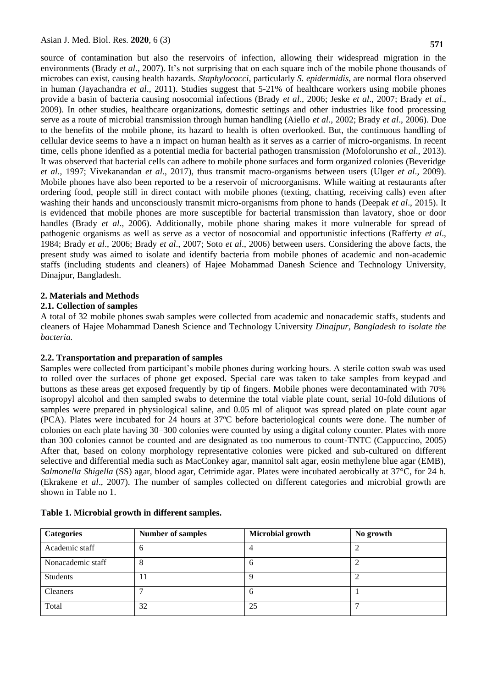source of contamination but also the reservoirs of infection, allowing their widespread migration in the environments (Brady *et al*., 2007). It's not surprising that on each square inch of the mobile phone thousands of microbes can exist, causing health hazards. *Staphylococci,* particularly *S. epidermidis*, are normal flora observed in human (Jayachandra *et al*., 2011). Studies suggest that 5-21% of healthcare workers using mobile phones provide a basin of bacteria causing nosocomial infections (Brady *et al*., 2006; Jeske *et al*., 2007; Brady *et al*., 2009). In other studies, healthcare organizations, domestic settings and other industries like food processing serve as a route of microbial transmission through human handling (Aiello *et al*., 2002; Brady *et al*., 2006). Due to the benefits of the mobile phone, its hazard to health is often overlooked. But, the continuous handling of cellular device seems to have a n impact on human health as it serves as a carrier of micro-organisms. In recent time, cells phone idenfied as a potential media for bacterial pathogen transmission *(*Mofolorunsho *et al*., 2013). It was observed that bacterial cells can adhere to mobile phone surfaces and form organized colonies (Beveridge *et al*., 1997; Vivekanandan *et al*., 2017), thus transmit macro-organisms between users (Ulger *et al*., 2009). Mobile phones have also been reported to be a reservoir of microorganisms. While waiting at restaurants after ordering food, people still in direct contact with mobile phones (texting, chatting, receiving calls) even after washing their hands and unconsciously transmit micro-organisms from phone to hands (Deepak *et al*., 2015). It is evidenced that mobile phones are more susceptible for bacterial transmission than lavatory, shoe or door handles (Brady *et al*., 2006). Additionally, mobile phone sharing makes it more vulnerable for spread of pathogenic organisms as well as serve as a vector of nosocomial and opportunistic infections (Rafferty *et al*., 1984; Brady *et al*., 2006; Brady *et al*., 2007; Soto *et al*., 2006) between users. Considering the above facts, the present study was aimed to isolate and identify bacteria from mobile phones of academic and non-academic staffs (including students and cleaners) of Hajee Mohammad Danesh Science and Technology University, Dinajpur, Bangladesh.

### **2. Materials and Methods**

#### **2.1. Collection of samples**

A total of 32 mobile phones swab samples were collected from academic and nonacademic staffs, students and cleaners of Hajee Mohammad Danesh Science and Technology University *Dinajpur, Bangladesh to isolate the bacteria.*

#### **2.2. Transportation and preparation of samples**

Samples were collected from participant's mobile phones during working hours. A sterile cotton swab was used to rolled over the surfaces of phone get exposed. Special care was taken to take samples from keypad and buttons as these areas get exposed frequently by tip of fingers. Mobile phones were decontaminated with 70% isopropyl alcohol and then sampled swabs to determine the total viable plate count, serial 10-fold dilutions of samples were prepared in physiological saline, and 0.05 ml of aliquot was spread plated on plate count agar (PCA). Plates were incubated for 24 hours at 37ºC before bacteriological counts were done. The number of colonies on each plate having 30–300 colonies were counted by using a digital colony counter. Plates with more than 300 colonies cannot be counted and are designated as too numerous to count-TNTC (Cappuccino, 2005) After that, based on colony morphology representative colonies were picked and sub-cultured on different selective and differential media such as MacConkey agar, mannitol salt agar, eosin methylene blue agar (EMB), *Salmonella Shigella* (SS) agar, blood agar, Cetrimide agar. Plates were incubated aerobically at 37°C, for 24 h. (Ekrakene *et al*., 2007). The number of samples collected on different categories and microbial growth are shown in Table no 1.

| <b>Categories</b> | <b>Number of samples</b> | <b>Microbial growth</b> | No growth |
|-------------------|--------------------------|-------------------------|-----------|
| Academic staff    | 6                        |                         |           |
| Nonacademic staff | 8                        | n                       |           |
| <b>Students</b>   |                          |                         |           |
| <b>Cleaners</b>   |                          | <sub>0</sub>            |           |
| Total             | 32                       | 25                      |           |

# **Table 1. Microbial growth in different samples.**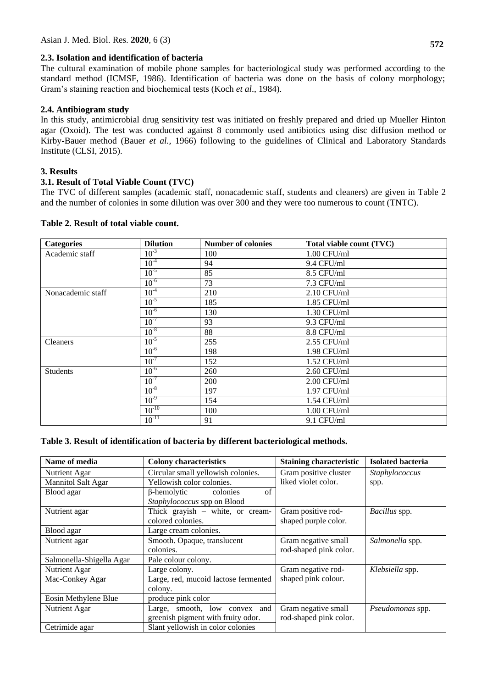# **2.3. Isolation and identification of bacteria**

The cultural examination of mobile phone samples for bacteriological study was performed according to the standard method (ICMSF, 1986). Identification of bacteria was done on the basis of colony morphology; Gram's staining reaction and biochemical tests (Koch *et al*., 1984).

# **2.4. Antibiogram study**

In this study, antimicrobial drug sensitivity test was initiated on freshly prepared and dried up Mueller Hinton agar (Oxoid). The test was conducted against 8 commonly used antibiotics using disc diffusion method or Kirby-Bauer method (Bauer *et al.,* 1966) following to the guidelines of Clinical and Laboratory Standards Institute (CLSI, 2015).

# **3. Results**

# **3.1. Result of Total Viable Count (TVC)**

The TVC of different samples (academic staff, nonacademic staff, students and cleaners) are given in Table 2 and the number of colonies in some dilution was over 300 and they were too numerous to count (TNTC).

| <b>Categories</b> | <b>Dilution</b> | <b>Number of colonies</b> | Total viable count (TVC) |
|-------------------|-----------------|---------------------------|--------------------------|
| Academic staff    | $10^{-3}$       | 100                       | $1.00$ CFU/ml            |
|                   | $10^{-4}$       | 94                        | 9.4 CFU/ml               |
|                   | $10^{-5}$       | 85                        | 8.5 CFU/ml               |
|                   | $10^{-6}$       | 73                        | 7.3 CFU/ml               |
| Nonacademic staff | $10^{-4}$       | 210                       | 2.10 CFU/ml              |
|                   | $10^{-5}$       | 185                       | 1.85 CFU/ml              |
|                   | $10^{-6}$       | 130                       | 1.30 CFU/ml              |
|                   | $10^{-7}$       | 93                        | 9.3 CFU/ml               |
|                   | $10^{-8}$       | 88                        | 8.8 CFU/ml               |
| <b>Cleaners</b>   | $10^{-5}$       | 255                       | $2.55$ CFU/ml            |
|                   | $10^{-6}$       | 198                       | $1.98$ CFU/ml            |
|                   | $10^{-7}$       | 152                       | 1.52 CFU/ml              |
| Students          | $10^{-6}$       | 260                       | 2.60 CFU/ml              |
|                   | $10^{-7}$       | 200                       | 2.00 CFU/ml              |
|                   | $10^{-8}$       | 197                       | 1.97 CFU/ml              |
|                   | $10^{-9}$       | 154                       | $1.54$ CFU/ml            |
|                   | $10^{-10}$      | 100                       | $1.00$ CFU/ml            |
|                   | $10^{-11}$      | 91                        | 9.1 CFU/ml               |

### **Table 2. Result of total viable count.**

# **Table 3. Result of identification of bacteria by different bacteriological methods.**

| Name of media             | <b>Colony characteristics</b>        | <b>Staining characteristic</b> | <b>Isolated bacteria</b> |
|---------------------------|--------------------------------------|--------------------------------|--------------------------|
| Nutrient Agar             | Circular small yellowish colonies.   | Gram positive cluster          | Staphylococcus           |
| <b>Mannitol Salt Agar</b> | Yellowish color colonies.            | liked violet color.            | spp.                     |
| Blood agar                | of<br>$\beta$ -hemolytic<br>colonies |                                |                          |
|                           | Staphylococcus spp on Blood          |                                |                          |
| Nutrient agar             | Thick grayish $-$ white, or cream-   | Gram positive rod-             | Bacillus spp.            |
|                           | colored colonies.                    | shaped purple color.           |                          |
| Blood agar                | Large cream colonies.                |                                |                          |
| Nutrient agar             | Smooth. Opaque, translucent          | Gram negative small            | Salmonella spp.          |
|                           | colonies.                            | rod-shaped pink color.         |                          |
| Salmonella-Shigella Agar  | Pale colour colony.                  |                                |                          |
| Nutrient Agar             | Large colony.                        | Gram negative rod-             | Klebsiella spp.          |
| Mac-Conkey Agar           | Large, red, mucoid lactose fermented | shaped pink colour.            |                          |
|                           | colony.                              |                                |                          |
| Eosin Methylene Blue      | produce pink color                   |                                |                          |
| Nutrient Agar             | Large, smooth, low convex and        | Gram negative small            | Pseudomonas spp.         |
|                           | greenish pigment with fruity odor.   | rod-shaped pink color.         |                          |
| Cetrimide agar            | Slant yellowish in color colonies    |                                |                          |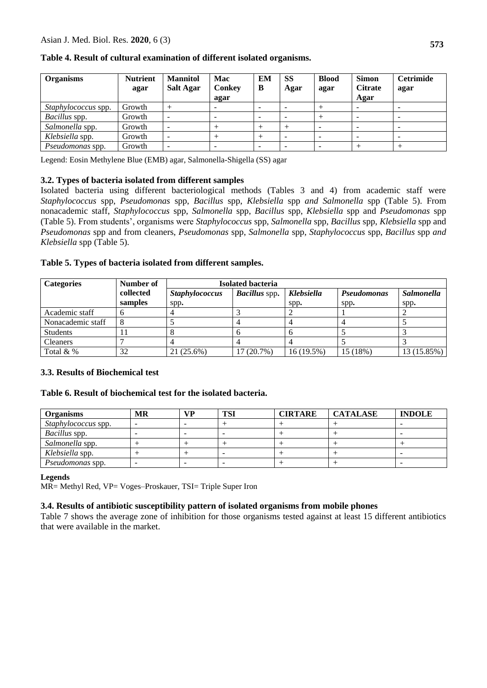| <b>Organisms</b>        | <b>Nutrient</b> | <b>Mannitol</b>              | Mac           | EМ | <b>SS</b> | <b>Blood</b> | <b>Simon</b>   | <b>Cetrimide</b> |
|-------------------------|-----------------|------------------------------|---------------|----|-----------|--------------|----------------|------------------|
|                         | agar            | <b>Salt Agar</b>             | <b>Conkey</b> | B  | Agar      | agar         | <b>Citrate</b> | agar             |
|                         |                 |                              | agar          |    |           |              | Agar           |                  |
| Staphylococcus spp.     | Growth          |                              |               |    |           |              |                |                  |
| <i>Bacillus</i> spp.    | Growth          | $\overline{\phantom{0}}$     |               |    |           |              |                |                  |
| Salmonella spp.         | Growth          | $\overline{\phantom{a}}$     |               |    |           |              |                |                  |
| Klebsiella spp.         | Growth          | $\overline{\phantom{a}}$     |               |    |           |              |                |                  |
| <i>Pseudomonas</i> spp. | Growth          | $\qquad \qquad \blacksquare$ |               |    |           |              |                |                  |

# **Table 4. Result of cultural examination of different isolated organisms.**

Legend: Eosin Methylene Blue (EMB) agar, Salmonella-Shigella (SS) agar

# **3.2. Types of bacteria isolated from different samples**

Isolated bacteria using different bacteriological methods (Tables 3 and 4) from academic staff were *Staphylococcus* spp, *Pseudomonas* spp, *Bacillus* spp, *Klebsiella* spp *and Salmonella* spp (Table 5). From nonacademic staff, *Staphylococcus* spp, *Salmonella* spp, *Bacillus* spp, *Klebsiella* spp and *Pseudomonas* spp (Table 5). From students', organisms were *Staphylococcus* spp, *Salmonella* spp, *Bacillus* spp, *Klebsiella* spp and *Pseudomonas* spp and from cleaners, *Pseudomonas* spp, *Salmonella* spp, *Staphylococcus* spp, *Bacillus* spp *and Klebsiella* spp (Table 5)*.*

# **Table 5. Types of bacteria isolated from different samples.**

| <b>Categories</b> | Number of | <b>Isolated bacteria</b> |                      |                   |             |                   |
|-------------------|-----------|--------------------------|----------------------|-------------------|-------------|-------------------|
|                   | collected | <b>Staphylococcus</b>    | <b>Bacillus</b> spp. | <b>Klebsiella</b> | Pseudomonas | <b>Salmonella</b> |
|                   | samples   | spp.                     |                      | spp.              | spp.        | spp.              |
| Academic staff    |           |                          |                      |                   |             |                   |
| Nonacademic staff |           |                          |                      |                   |             |                   |
| <b>Students</b>   |           |                          |                      |                   |             |                   |
| <b>Cleaners</b>   |           |                          |                      |                   |             |                   |
| Total $&$ %       | 32        | 21 (25.6%)               | 17(20.7%)            | 16 (19.5%)        | 15 (18%)    | 13(15.85%)        |

# **3.3. Results of Biochemical test**

# **Table 6. Result of biochemical test for the isolated bacteria.**

| <b>Organisms</b>     | MR | <b>VP</b> | <b>TSI</b> | <b>CIRTARE</b> | <b>CATALASE</b> | <b>INDOLE</b> |
|----------------------|----|-----------|------------|----------------|-----------------|---------------|
| Staphylococcus spp.  |    |           |            |                |                 |               |
| <i>Bacillus</i> spp. |    |           |            |                |                 | -             |
| Salmonella spp.      |    |           |            |                |                 |               |
| Klebsiella spp.      |    |           |            |                |                 |               |
| Pseudomonas spp.     |    |           |            |                |                 |               |

# **Legends**

MR= Methyl Red, VP= Voges–Proskauer, TSI= Triple Super Iron

# **3.4. Results of antibiotic susceptibility pattern of isolated organisms from mobile phones**

Table 7 shows the average zone of inhibition for those organisms tested against at least 15 different antibiotics that were available in the market.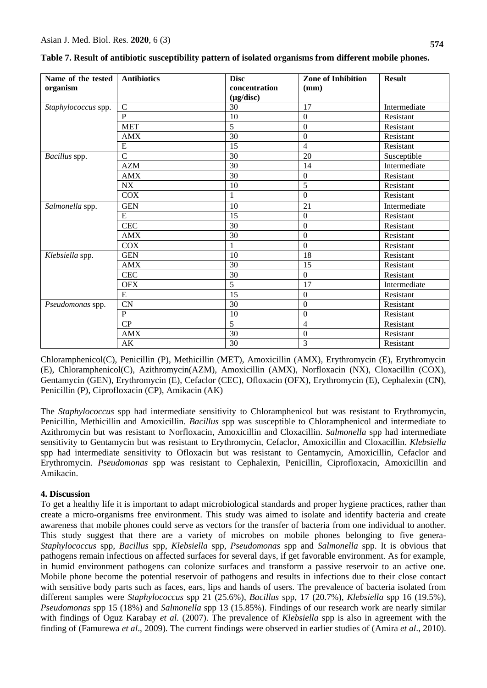| Name of the tested  | <b>Antibiotics</b> | <b>Disc</b>    | <b>Zone of Inhibition</b> | <b>Result</b> |
|---------------------|--------------------|----------------|---------------------------|---------------|
| organism            |                    | concentration  | (mm)                      |               |
|                     |                    | $(\mu g/disc)$ |                           |               |
| Staphylococcus spp. | $\overline{C}$     | 30             | 17                        | Intermediate  |
|                     | $\mathbf{P}$       | 10             | $\Omega$                  | Resistant     |
|                     | <b>MET</b>         | 5              | $\mathbf{0}$              | Resistant     |
|                     | <b>AMX</b>         | 30             | $\boldsymbol{0}$          | Resistant     |
|                     | E                  | 15             | 4                         | Resistant     |
| Bacillus spp.       | $\overline{C}$     | 30             | 20                        | Susceptible   |
|                     | <b>AZM</b>         | 30             | 14                        | Intermediate  |
|                     | <b>AMX</b>         | 30             | $\overline{0}$            | Resistant     |
|                     | <b>NX</b>          | 10             | 5                         | Resistant     |
|                     | <b>COX</b>         | 1              | $\Omega$                  | Resistant     |
| Salmonella spp.     | <b>GEN</b>         | 10             | 21                        | Intermediate  |
|                     | E                  | 15             | $\boldsymbol{0}$          | Resistant     |
|                     | <b>CEC</b>         | 30             | $\overline{0}$            | Resistant     |
|                     | <b>AMX</b>         | 30             | $\mathbf{0}$              | Resistant     |
|                     | <b>COX</b>         |                | $\theta$                  | Resistant     |
| Klebsiella spp.     | <b>GEN</b>         | 10             | 18                        | Resistant     |
|                     | <b>AMX</b>         | 30             | 15                        | Resistant     |
|                     | <b>CEC</b>         | 30             | $\Omega$                  | Resistant     |
|                     | <b>OFX</b>         | $\overline{5}$ | 17                        | Intermediate  |
|                     | E                  | 15             | $\overline{0}$            | Resistant     |
| Pseudomonas spp.    | <b>CN</b>          | 30             | $\overline{0}$            | Resistant     |
|                     | P                  | 10             | $\mathbf{0}$              | Resistant     |
|                     | CP                 | 5              | $\overline{4}$            | Resistant     |
|                     | <b>AMX</b>         | 30             | $\boldsymbol{0}$          | Resistant     |
|                     | AK                 | 30             | 3                         | Resistant     |

| Table 7. Result of antibiotic susceptibility pattern of isolated organisms from different mobile phones. |  |  |
|----------------------------------------------------------------------------------------------------------|--|--|
|                                                                                                          |  |  |

Chloramphenicol(C), Penicillin (P), Methicillin (MET), Amoxicillin (AMX), Erythromycin (E), Erythromycin (E), Chloramphenicol(C), Azithromycin(AZM), Amoxicillin (AMX), [Norfloxacin](https://www.google.com/search?q=Norfloxacin&spell=1&sa=X&ved=0ahUKEwiyseniiJXbAhWGrI8KHWvwCy0QkeECCCQoAA) (NX), [Cloxacillin](https://www.google.com/search?q=Cloxacillin&spell=1&sa=X&ved=0ahUKEwjiqI3Qh5XbAhUKto8KHZA_A9YQkeECCCQoAA) (COX), Gentamycin (GEN), Erythromycin (E), Cefaclor (CEC), Ofloxacin (OFX), Erythromycin (E), Cephalexin (CN), Penicillin (P), Ciprofloxacin (CP), Amikacin (AK)

The *Staphylococcus* spp had intermediate sensitivity to Chloramphenicol but was resistant to Erythromycin, Penicillin, Methicillin and Amoxicillin. *Bacillus* spp was susceptible to Chloramphenicol and intermediate to Azithromycin but was resistant to [Norfloxacin,](https://www.google.com/search?q=Norfloxacin&spell=1&sa=X&ved=0ahUKEwiyseniiJXbAhWGrI8KHWvwCy0QkeECCCQoAA) Amoxicillin and [Cloxacillin.](https://www.google.com/search?q=Cloxacillin&spell=1&sa=X&ved=0ahUKEwjiqI3Qh5XbAhUKto8KHZA_A9YQkeECCCQoAA) *Salmonella* spp had intermediate sensitivity to Gentamycin but was resistant to Erythromycin, Cefaclor, Amoxicillin and [Cloxacillin.](https://www.google.com/search?q=Cloxacillin&spell=1&sa=X&ved=0ahUKEwjiqI3Qh5XbAhUKto8KHZA_A9YQkeECCCQoAA) *Klebsiella*  spp had intermediate sensitivity to Ofloxacin but was resistant to Gentamycin*,* Amoxicillin, Cefaclor and Erythromycin. *Pseudomonas* spp was resistant to Cephalexin, Penicillin, Ciprofloxacin, Amoxicillin and Amikacin.

# **4. Discussion**

To get a healthy life it is important to adapt microbiological standards and proper hygiene practices, rather than create a micro-organisms free environment. This study was aimed to isolate and identify bacteria and create awareness that mobile phones could serve as vectors for the transfer of bacteria from one individual to another. This study suggest that there are a variety of microbes on mobile phones belonging to five genera-*Staphylococcus* spp*, Bacillus* spp, *Klebsiella* spp, *Pseudomonas* spp and *Salmonella* spp. It is obvious that pathogens remain infectious on affected surfaces for several days, if get favorable environment. As for example, in humid environment pathogens can colonize surfaces and transform a passive reservoir to an active one. Mobile phone become the potential reservoir of pathogens and results in infections due to their close contact with sensitive body parts such as faces, ears, lips and hands of users. The prevalence of bacteria isolated from different samples were *Staphylococcus* spp 21 (25.6%), *Bacillus* spp*,* 17 (20.7%), *Klebsiella* spp 16 (19.5%), *Pseudomonas* spp 15 (18%) and *Salmonella* spp 13 (15.85%). Findings of our research work are nearly similar with findings of Oguz Karabay *et al.* (2007). The prevalence of *Klebsiella* spp is also in agreement with the finding of (Famurewa *et al*., 2009). The current findings were observed in earlier studies of (Amira *et al*., 2010).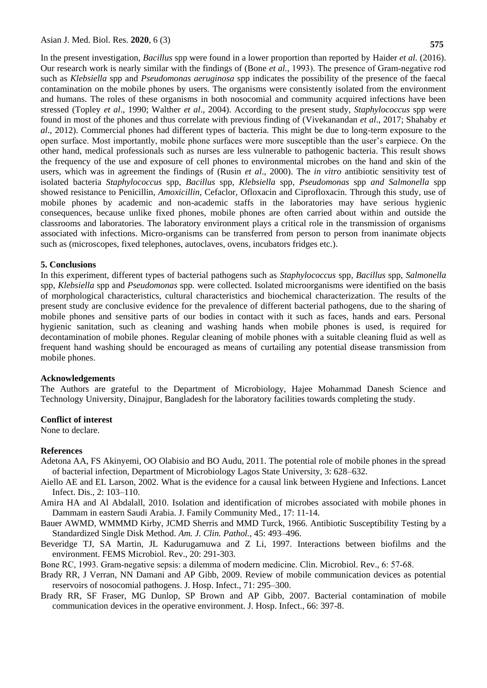In the present investigation, *Bacillus* spp were found in a lower proportion than reported by Haider *et al.* (2016). Our research work is nearly similar with the findings of (Bone *et al.,* 1993). The presence of Gram‐negative rod such as *Klebsiella* spp and *Pseudomonas aeruginosa* spp indicates the possibility of the presence of the faecal contamination on the mobile phones by users*.* The organisms were consistently isolated from the environment and humans. The roles of these organisms in both nosocomial and community acquired infections have been stressed (Topley *et al*., 1990; Walther *et al*., 2004). According to the present study, *Staphylococcus* spp were found in most of the phones and thus correlate with previous finding of (Vivekanandan *et al*., 2017; Shahaby *et al*., 2012). Commercial phones had different types of bacteria. This might be due to long-term exposure to the open surface. Most importantly, mobile phone surfaces were more susceptible than the user's earpiece. On the other hand, medical professionals such as nurses are less vulnerable to pathogenic bacteria. This result shows the frequency of the use and exposure of cell phones to environmental microbes on the hand and skin of the users, which was in agreement the findings of (Rusin *et al*., 2000). The *in vitro* antibiotic sensitivity test of isolated bacteria *Staphylococcus* spp*, Bacillus* spp*, Klebsiella* spp*, Pseudomonas* spp *and Salmonella* spp showed resistance to Penicillin, *Amoxicillin,* Cefaclor, Ofloxacin and Ciprofloxacin. Through this study, use of mobile phones by academic and non-academic staffs in the laboratories may have serious hygienic consequences, because unlike fixed phones, mobile phones are often carried about within and outside the classrooms and laboratories. The laboratory environment plays a critical role in the transmission of organisms associated with infections. Micro-organisms can be transferred from person to person from inanimate objects such as (microscopes, fixed telephones, autoclaves, ovens, incubators fridges etc.).

#### **5. Conclusions**

In this experiment, different types of bacterial pathogens such as *Staphylococcus* spp*, Bacillus* spp*, Salmonella*  spp*, Klebsiella* spp and *Pseudomonas* spp*.* were collected. Isolated microorganisms were identified on the basis of morphological characteristics, cultural characteristics and biochemical characterization. The results of the present study are conclusive evidence for the prevalence of different bacterial pathogens, due to the sharing of mobile phones and sensitive parts of our bodies in contact with it such as faces, hands and ears. Personal hygienic sanitation, such as cleaning and washing hands when mobile phones is used, is required for decontamination of mobile phones. Regular cleaning of mobile phones with a suitable cleaning fluid as well as frequent hand washing should be encouraged as means of curtailing any potential disease transmission from mobile phones.

#### **Acknowledgements**

The Authors are grateful to the Department of Microbiology, Hajee Mohammad Danesh Science and Technology University, Dinajpur, Bangladesh for the laboratory facilities towards completing the study.

#### **Conflict of interest**

None to declare.

# **References**

- Adetona AA, FS Akinyemi, OO Olabisio and BO Audu, 2011. The potential role of mobile phones in the spread of bacterial infection, Department of Microbiology Lagos State University, 3: 628–632.
- Aiello AE and EL Larson, 2002. What is the evidence for a causal link between Hygiene and Infections. Lancet Infect. Dis., 2: 103–110.
- Amira HA and Al Abdalall, 2010. Isolation and identification of microbes associated with mobile phones in Dammam in eastern Saudi Arabia. J. Family Community Med., 17: 11-14.
- Bauer [AWMD,](javascript:;) WMMMD [Kirby,](javascript:;) JCMD [Sherris and MMD](javascript:;) [Turck,](javascript:;) 1966. Antibiotic Susceptibility Testing by a Standardized Single Disk Method. *Am. J. Clin. Pathol.,* 45: 493–496.
- Beveridge TJ, SA Martin, JL Kadurugamuwa and Z Li, 1997. Interactions between biofilms and the environment. FEMS Microbiol. Rev., 20: 291-303.
- Bone RC, 1993. Gram-negative sepsis: a dilemma of modern medicine. Clin. Microbiol. Rev., 6: 57-68.
- Brady RR, J Verran, NN Damani and AP Gibb, 2009. Review of mobile communication devices as potential reservoirs of nosocomial pathogens. J. Hosp. Infect., 71: 295–300.
- Brady RR, SF Fraser, MG Dunlop, SP Brown and AP Gibb, 2007. Bacterial contamination of mobile communication devices in the operative environment. J. Hosp. Infect., 66: 397-8.